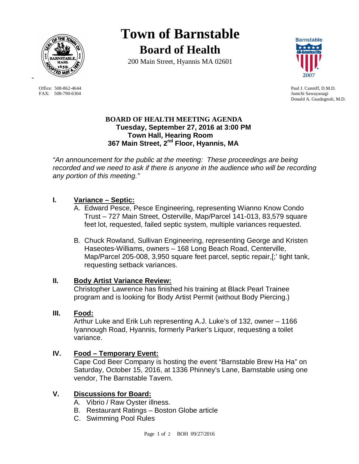

FAX: 508-790-6304 Junichi Sawayanagi

-

**Town of Barnstable Board of Health**

200 Main Street, Hyannis MA 02601



Office: 508-862-4644 Paul J. Canniff, D.M.D. Donald A. Guadagnoli, M.D.

#### **BOARD OF HEALTH MEETING AGENDA Tuesday, September 27, 2016 at 3:00 PM Town Hall, Hearing Room 367 Main Street, 2nd Floor, Hyannis, MA**

*"An announcement for the public at the meeting: These proceedings are being recorded and we need to ask if there is anyone in the audience who will be recording any portion of this meeting."*

# **I. Variance – Septic:**

- A. Edward Pesce, Pesce Engineering, representing Wianno Know Condo Trust – 727 Main Street, Osterville, Map/Parcel 141-013, 83,579 square feet lot, requested, failed septic system, multiple variances requested.
- B. Chuck Rowland, Sullivan Engineering, representing George and Kristen Haseotes-Williams, owners – 168 Long Beach Road, Centerville, Map/Parcel 205-008, 3,950 square feet parcel, septic repair,[;' tight tank, requesting setback variances.

### **II. Body Artist Variance Review:**

Christopher Lawrence has finished his training at Black Pearl Trainee program and is looking for Body Artist Permit (without Body Piercing.)

### **III. Food:**

Arthur Luke and Erik Luh representing A.J. Luke's of 132, owner – 1166 Iyannough Road, Hyannis, formerly Parker's Liquor, requesting a toilet variance.

# **IV. Food – Temporary Event:**

Cape Cod Beer Company is hosting the event "Barnstable Brew Ha Ha" on Saturday, October 15, 2016, at 1336 Phinney's Lane, Barnstable using one vendor, The Barnstable Tavern.

# **V. Discussions for Board:**

- A. Vibrio / Raw Oyster illness.
- B. Restaurant Ratings Boston Globe article
- C. Swimming Pool Rules